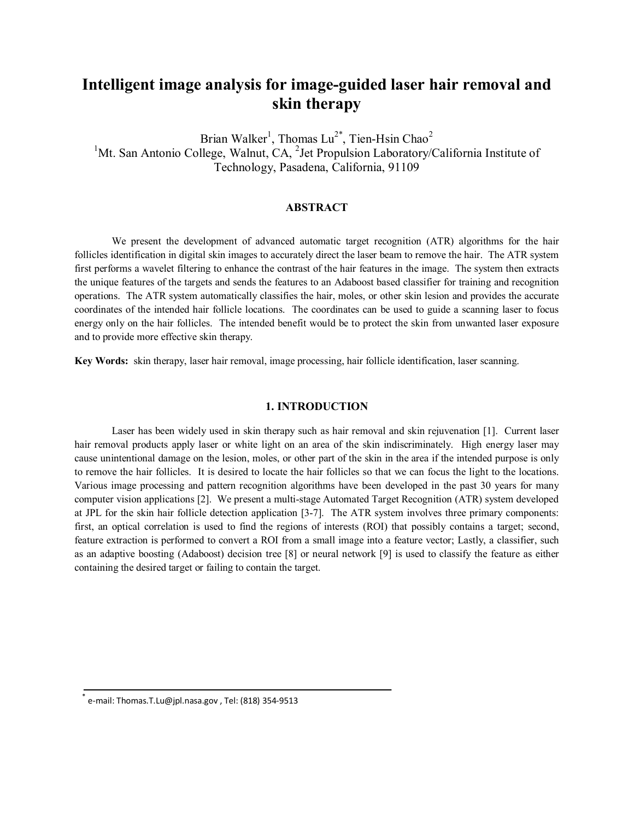# **Intelligent image analysis for image-guided laser hair removal and skin therapy**

Brian Walker<sup>1</sup>, Thomas Lu<sup>2\*</sup>, Tien-Hsin Chao<sup>2</sup> <sup>1</sup>Mt. San Antonio College, Walnut, CA, <sup>2</sup>Jet Propulsion Laboratory/California Institute of Technology, Pasadena, California, 91109

# **ABSTRACT**

We present the development of advanced automatic target recognition (ATR) algorithms for the hair follicles identification in digital skin images to accurately direct the laser beam to remove the hair. The ATR system first performs a wavelet filtering to enhance the contrast of the hair features in the image. The system then extracts the unique features of the targets and sends the features to an Adaboost based classifier for training and recognition operations. The ATR system automatically classifies the hair, moles, or other skin lesion and provides the accurate coordinates of the intended hair follicle locations. The coordinates can be used to guide a scanning laser to focus energy only on the hair follicles. The intended benefit would be to protect the skin from unwanted laser exposure and to provide more effective skin therapy.

**Key Words:** skin therapy, laser hair removal, image processing, hair follicle identification, laser scanning.

# **1. INTRODUCTION**

Laser has been widely used in skin therapy such as hair removal and skin rejuvenation [1]. Current laser hair removal products apply laser or white light on an area of the skin indiscriminately. High energy laser may cause unintentional damage on the lesion, moles, or other part of the skin in the area if the intended purpose is only to remove the hair follicles. It is desired to locate the hair follicles so that we can focus the light to the locations. Various image processing and pattern recognition algorithms have been developed in the past 30 years for many computer vision applications [2]. We present a multi-stage Automated Target Recognition (ATR) system developed at JPL for the skin hair follicle detection application [3-7]. The ATR system involves three primary components: first, an optical correlation is used to find the regions of interests (ROI) that possibly contains a target; second, feature extraction is performed to convert a ROI from a small image into a feature vector; Lastly, a classifier, such as an adaptive boosting (Adaboost) decision tree [8] or neural network [9] is used to classify the feature as either containing the desired target or failing to contain the target.

e-mail: Thomas.T.Lu@jpl.nasa.gov, Tel: (818) 354-9513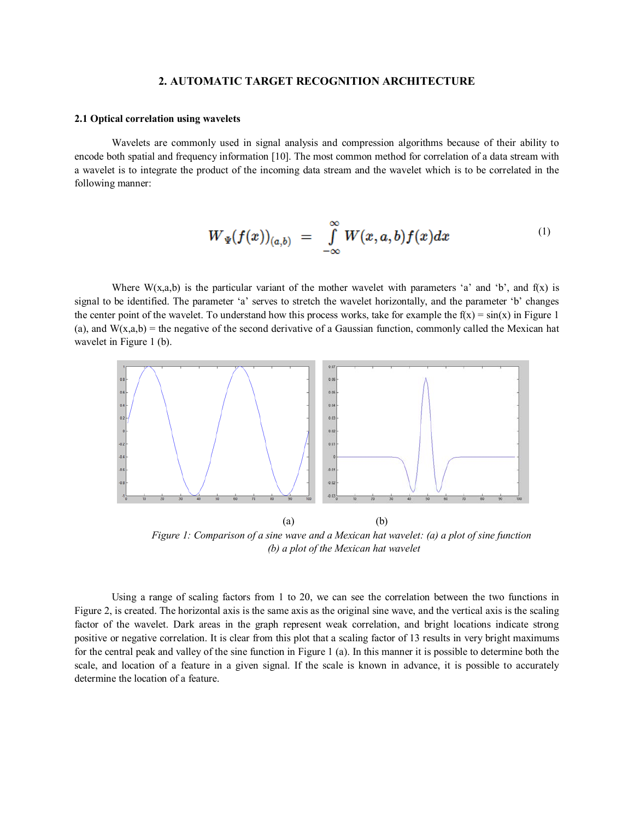### **2. AUTOMATIC TARGET RECOGNITION ARCHITECTURE**

#### **2.1 Optical correlation using wavelets**

Wavelets are commonly used in signal analysis and compression algorithms because of their ability to encode both spatial and frequency information [10]. The most common method for correlation of a data stream with a wavelet is to integrate the product of the incoming data stream and the wavelet which is to be correlated in the following manner:

$$
W_{\Psi}(f(x))_{(a,b)} = \int\limits_{-\infty}^{\infty} W(x,a,b)f(x)dx \qquad (1)
$$

Where  $W(x,a,b)$  is the particular variant of the mother wavelet with parameters 'a' and 'b', and f(x) is signal to be identified. The parameter 'a' serves to stretch the wavelet horizontally, and the parameter 'b' changes the center point of the wavelet. To understand how this process works, take for example the  $f(x) = \sin(x)$  in Figure 1 (a), and  $W(x,a,b)$  = the negative of the second derivative of a Gaussian function, commonly called the Mexican hat wavelet in Figure 1 (b).



 *Figure 1: Comparison of a sine wave and a Mexican hat wavelet: (a) a plot of sine function (b) a plot of the Mexican hat wavelet* 

Using a range of scaling factors from 1 to 20, we can see the correlation between the two functions in Figure 2, is created. The horizontal axis is the same axis as the original sine wave, and the vertical axis is the scaling factor of the wavelet. Dark areas in the graph represent weak correlation, and bright locations indicate strong positive or negative correlation. It is clear from this plot that a scaling factor of 13 results in very bright maximums for the central peak and valley of the sine function in Figure 1 (a). In this manner it is possible to determine both the scale, and location of a feature in a given signal. If the scale is known in advance, it is possible to accurately determine the location of a feature.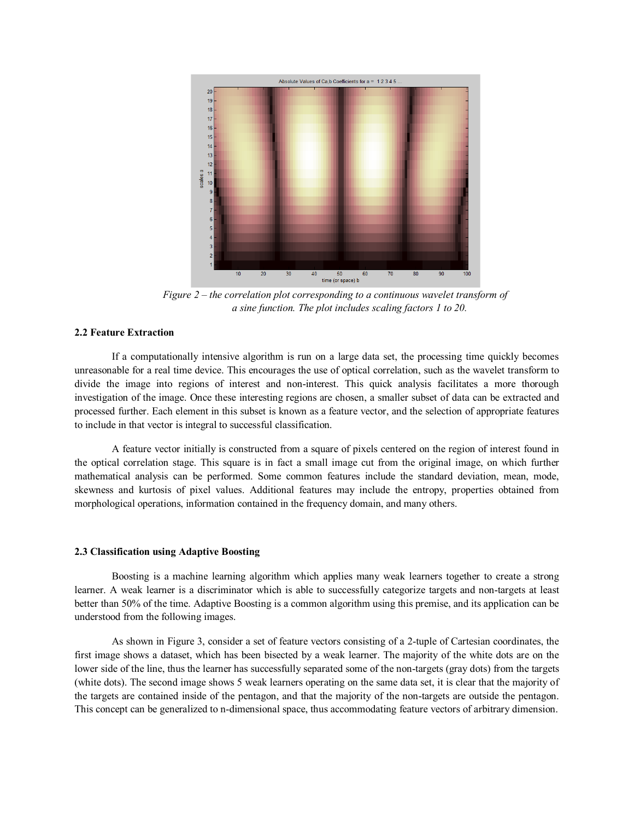

*Figure 2 – the correlation plot corresponding to a continuous wavelet transform of a sine function. The plot includes scaling factors 1 to 20.*

# **2.2 Feature Extraction**

If a computationally intensive algorithm is run on a large data set, the processing time quickly becomes unreasonable for a real time device. This encourages the use of optical correlation, such as the wavelet transform to divide the image into regions of interest and non-interest. This quick analysis facilitates a more thorough investigation of the image. Once these interesting regions are chosen, a smaller subset of data can be extracted and processed further. Each element in this subset is known as a feature vector, and the selection of appropriate features to include in that vector is integral to successful classification.

A feature vector initially is constructed from a square of pixels centered on the region of interest found in the optical correlation stage. This square is in fact a small image cut from the original image, on which further mathematical analysis can be performed. Some common features include the standard deviation, mean, mode, skewness and kurtosis of pixel values. Additional features may include the entropy, properties obtained from morphological operations, information contained in the frequency domain, and many others.

#### **2.3 Classification using Adaptive Boosting**

Boosting is a machine learning algorithm which applies many weak learners together to create a strong learner. A weak learner is a discriminator which is able to successfully categorize targets and non-targets at least better than 50% of the time. Adaptive Boosting is a common algorithm using this premise, and its application can be understood from the following images.

As shown in Figure 3, consider a set of feature vectors consisting of a 2-tuple of Cartesian coordinates, the first image shows a dataset, which has been bisected by a weak learner. The majority of the white dots are on the lower side of the line, thus the learner has successfully separated some of the non-targets (gray dots) from the targets (white dots). The second image shows 5 weak learners operating on the same data set, it is clear that the majority of the targets are contained inside of the pentagon, and that the majority of the non-targets are outside the pentagon. This concept can be generalized to n-dimensional space, thus accommodating feature vectors of arbitrary dimension.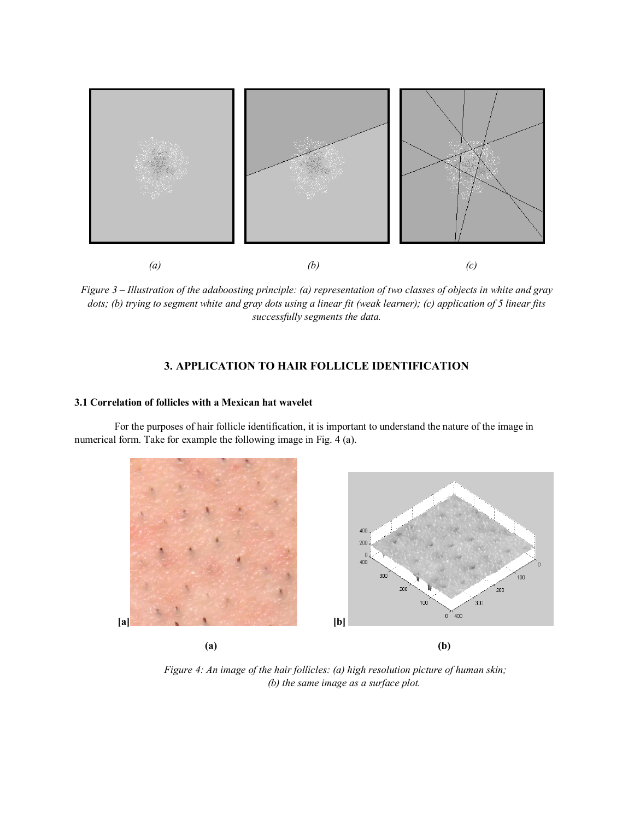

*Figure 3 – Illustration of the adaboosting principle: (a) representation of two classes of objects in white and gray dots; (b) trying to segment white and gray dots using a linear fit (weak learner); (c) application of 5 linear fits successfully segments the data.* 

# **3. APPLICATION TO HAIR FOLLICLE IDENTIFICATION**

#### **3.1 Correlation of follicles with a Mexican hat wavelet**

For the purposes of hair follicle identification, it is important to understand the nature of the image in numerical form. Take for example the following image in Fig. 4 (a).





*Figure 4: An image of the hair follicles: (a) high resolution picture of human skin; (b) the same image as a surface plot.*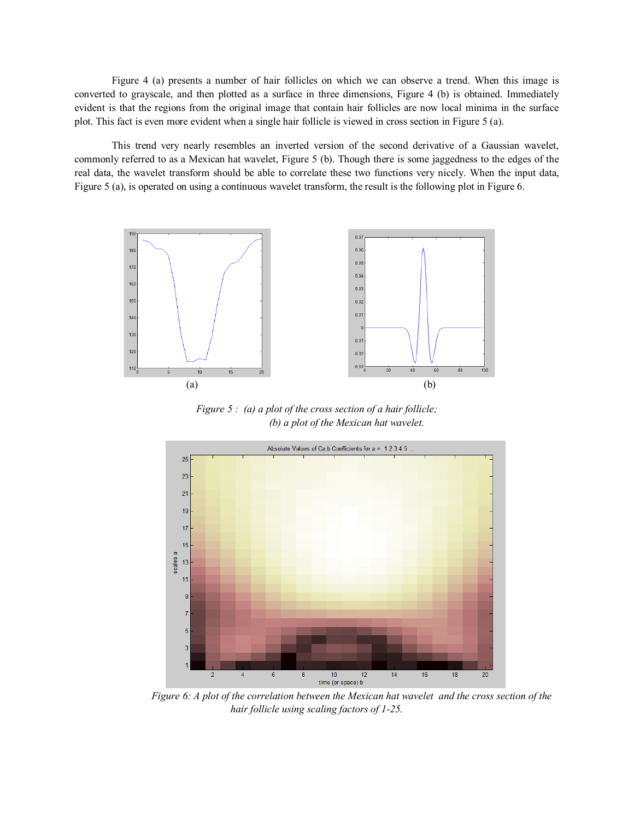Figure 4 (a) presents a number of hair follicles on which we can observe a trend. When this image is converted to grayscale, and then plotted as a surface in three dimensions, Figure 4 (b) is obtained. Immediately evident is that the regions from the original image that contain hair follicles are now local minima in the surface plot. This fact is even more evident when a single hair follicle is viewed in cross section in Figure 5 (a).

This trend very nearly resembles an inverted version of the second derivative of a Gaussian wavelet, commonly referred to as a Mexican hat wavelet, Figure 5 (b). Though there is some jaggedness to the edges of the real data, the wavelet transform should be able to correlate these two functions very nicely. When the input data, Figure 5 (a), is operated on using a continuous wavelet transform, the result is the following plot in Figure 6.



*Figure 5 : (a) a plot of the cross section of a hair follicle; (b) a plot of the Mexican hat wavelet.*



 *Figure 6: A plot of the correlation between the Mexican hat wavelet and the cross section of the hair follicle using scaling factors of 1-25.*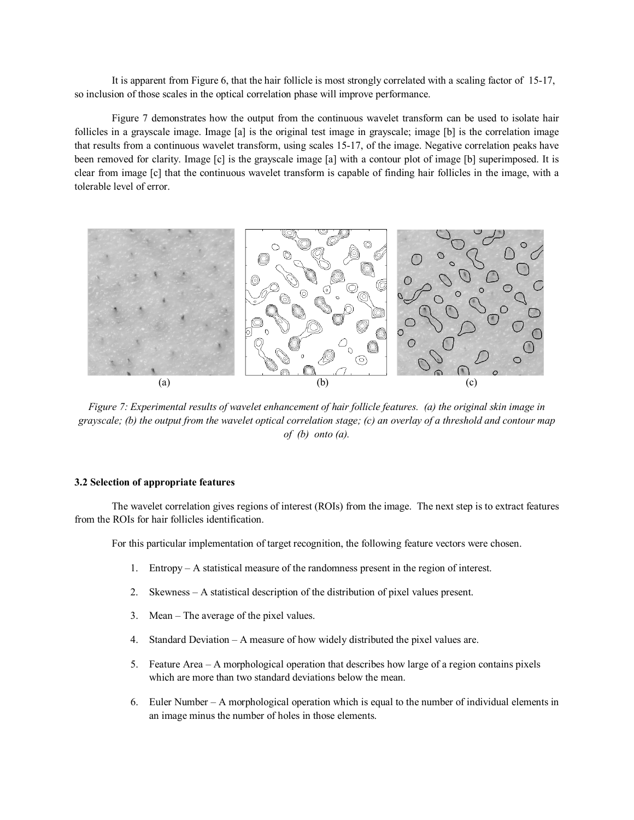It is apparent from Figure 6, that the hair follicle is most strongly correlated with a scaling factor of 15-17, so inclusion of those scales in the optical correlation phase will improve performance.

Figure 7 demonstrates how the output from the continuous wavelet transform can be used to isolate hair follicles in a grayscale image. Image [a] is the original test image in grayscale; image [b] is the correlation image that results from a continuous wavelet transform, using scales 15-17, of the image. Negative correlation peaks have been removed for clarity. Image [c] is the grayscale image [a] with a contour plot of image [b] superimposed. It is clear from image [c] that the continuous wavelet transform is capable of finding hair follicles in the image, with a tolerable level of error.



*Figure 7: Experimental results of wavelet enhancement of hair follicle features. (a) the original skin image in grayscale; (b) the output from the wavelet optical correlation stage; (c) an overlay of a threshold and contour map of (b) onto (a).*

#### **3.2 Selection of appropriate features**

The wavelet correlation gives regions of interest (ROIs) from the image. The next step is to extract features from the ROIs for hair follicles identification.

For this particular implementation of target recognition, the following feature vectors were chosen.

- 1. Entropy A statistical measure of the randomness present in the region of interest.
- 2. Skewness A statistical description of the distribution of pixel values present.
- 3. Mean The average of the pixel values.
- 4. Standard Deviation A measure of how widely distributed the pixel values are.
- 5. Feature Area A morphological operation that describes how large of a region contains pixels which are more than two standard deviations below the mean.
- 6. Euler Number A morphological operation which is equal to the number of individual elements in an image minus the number of holes in those elements.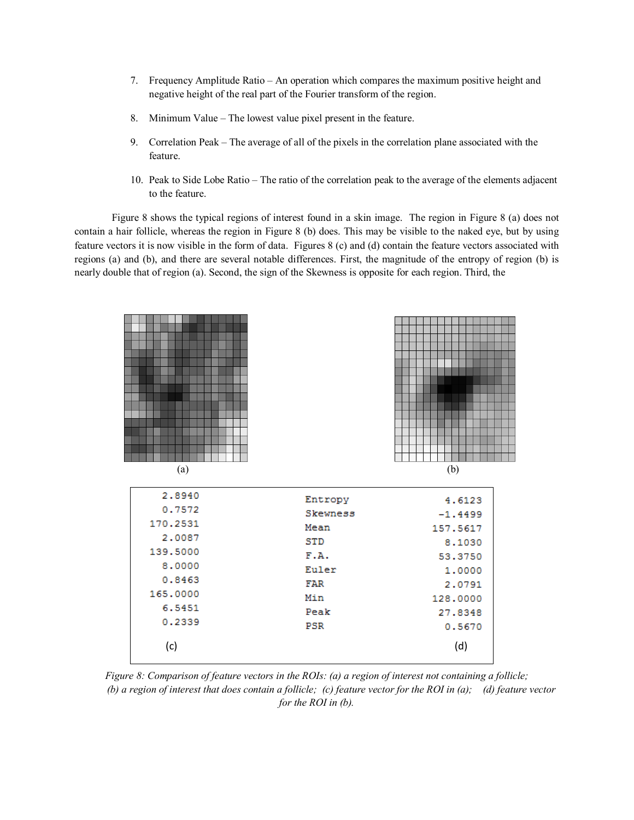- 7. Frequency Amplitude Ratio An operation which compares the maximum positive height and negative height of the real part of the Fourier transform of the region.
- 8. Minimum Value The lowest value pixel present in the feature.
- 9. Correlation Peak The average of all of the pixels in the correlation plane associated with the feature.
- 10. Peak to Side Lobe Ratio The ratio of the correlation peak to the average of the elements adjacent to the feature.

Figure 8 shows the typical regions of interest found in a skin image. The region in Figure 8 (a) does not contain a hair follicle, whereas the region in Figure 8 (b) does. This may be visible to the naked eye, but by using feature vectors it is now visible in the form of data. Figures 8 (c) and (d) contain the feature vectors associated with regions (a) and (b), and there are several notable differences. First, the magnitude of the entropy of region (b) is nearly double that of region (a). Second, the sign of the Skewness is opposite for each region. Third, the



*Figure 8: Comparison of feature vectors in the ROIs: (a) a region of interest not containing a follicle; (b) a region of interest that does contain a follicle; (c) feature vector for the ROI in (a); (d) feature vector for the ROI in (b).*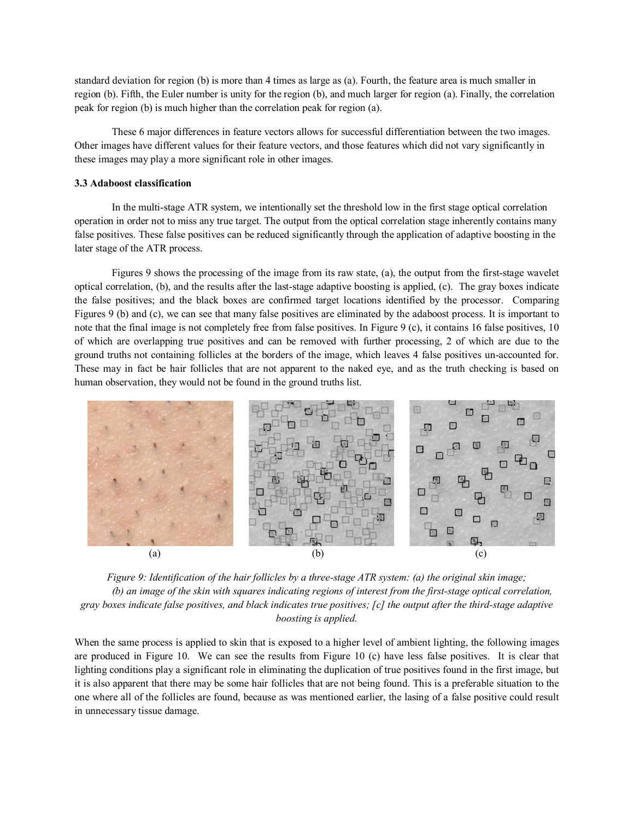standard deviation for region (b) is more than 4 times as large as (a). Fourth, the feature area is much smaller in region (b). Fifth, the Euler number is unity for the region (b), and much larger for region (a). Finally, the correlation peak for region (b) is much higher than the correlation peak for region (a).

These 6 major differences in feature vectors allows for successful differentiation between the two images. Other images have different values for their feature vectors, and those features which did not vary significantly in these images may play a more significant role in other images.

#### **3.3 Adaboost classification**

In the multi-stage ATR system, we intentionally set the threshold low in the first stage optical correlation operation in order not to miss any true target. The output from the optical correlation stage inherently contains many false positives. These false positives can be reduced significantly through the application of adaptive boosting in the later stage of the ATR process.

Figures 9 shows the processing of the image from its raw state, (a), the output from the first-stage wavelet optical correlation, (b), and the results after the last-stage adaptive boosting is applied, (c). The gray boxes indicate the false positives; and the black boxes are confirmed target locations identified by the processor. Comparing Figures 9 (b) and (c), we can see that many false positives are eliminated by the adaboost process. It is important to note that the final image is not completely free from false positives. In Figure 9 (c), it contains 16 false positives, 10 of which are overlapping true positives and can be removed with further processing, 2 of which are due to the ground truths not containing follicles at the borders of the image, which leaves 4 false positives un-accounted for. These may in fact be hair follicles that are not apparent to the naked eye, and as the truth checking is based on human observation, they would not be found in the ground truths list.



*Figure 9: Identification of the hair follicles by a three-stage ATR system: (a) the original skin image; (b) an image of the skin with squares indicating regions of interest from the first-stage optical correlation, gray boxes indicate false positives, and black indicates true positives; [c] the output after the third-stage adaptive boosting is applied.* 

When the same process is applied to skin that is exposed to a higher level of ambient lighting, the following images are produced in Figure 10. We can see the results from Figure 10 (c) have less false positives. It is clear that lighting conditions play a significant role in eliminating the duplication of true positives found in the first image, but it is also apparent that there may be some hair follicles that are not being found. This is a preferable situation to the one where all of the follicles are found, because as was mentioned earlier, the lasing of a false positive could result in unnecessary tissue damage.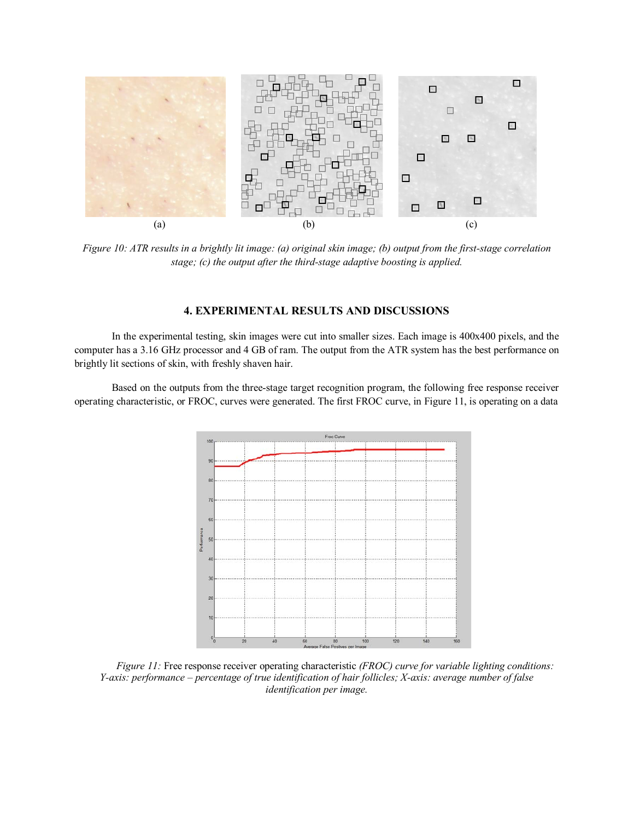

*Figure 10: ATR results in a brightly lit image: (a) original skin image; (b) output from the first-stage correlation stage; (c) the output after the third-stage adaptive boosting is applied.*

# **4. EXPERIMENTAL RESULTS AND DISCUSSIONS**

In the experimental testing, skin images were cut into smaller sizes. Each image is 400x400 pixels, and the computer has a 3.16 GHz processor and 4 GB of ram. The output from the ATR system has the best performance on brightly lit sections of skin, with freshly shaven hair.

Based on the outputs from the three-stage target recognition program, the following free response receiver operating characteristic, or FROC, curves were generated. The first FROC curve, in Figure 11, is operating on a data



*Figure 11:* Free response receiver operating characteristic *(FROC) curve for variable lighting conditions: Y-axis: performance – percentage of true identification of hair follicles; X-axis: average number of false identification per image.*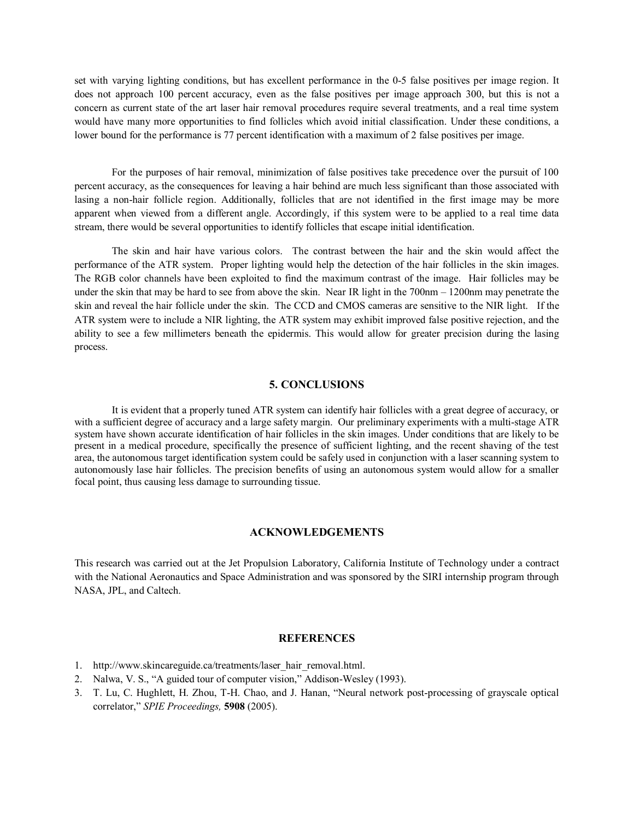set with varying lighting conditions, but has excellent performance in the 0-5 false positives per image region. It does not approach 100 percent accuracy, even as the false positives per image approach 300, but this is not a concern as current state of the art laser hair removal procedures require several treatments, and a real time system would have many more opportunities to find follicles which avoid initial classification. Under these conditions, a lower bound for the performance is 77 percent identification with a maximum of 2 false positives per image.

For the purposes of hair removal, minimization of false positives take precedence over the pursuit of 100 percent accuracy, as the consequences for leaving a hair behind are much less significant than those associated with lasing a non-hair follicle region. Additionally, follicles that are not identified in the first image may be more apparent when viewed from a different angle. Accordingly, if this system were to be applied to a real time data stream, there would be several opportunities to identify follicles that escape initial identification.

The skin and hair have various colors. The contrast between the hair and the skin would affect the performance of the ATR system. Proper lighting would help the detection of the hair follicles in the skin images. The RGB color channels have been exploited to find the maximum contrast of the image. Hair follicles may be under the skin that may be hard to see from above the skin. Near IR light in the 700nm – 1200nm may penetrate the skin and reveal the hair follicle under the skin. The CCD and CMOS cameras are sensitive to the NIR light. If the ATR system were to include a NIR lighting, the ATR system may exhibit improved false positive rejection, and the ability to see a few millimeters beneath the epidermis. This would allow for greater precision during the lasing process.

#### **5. CONCLUSIONS**

It is evident that a properly tuned ATR system can identify hair follicles with a great degree of accuracy, or with a sufficient degree of accuracy and a large safety margin. Our preliminary experiments with a multi-stage ATR system have shown accurate identification of hair follicles in the skin images. Under conditions that are likely to be present in a medical procedure, specifically the presence of sufficient lighting, and the recent shaving of the test area, the autonomous target identification system could be safely used in conjunction with a laser scanning system to autonomously lase hair follicles. The precision benefits of using an autonomous system would allow for a smaller focal point, thus causing less damage to surrounding tissue.

#### **ACKNOWLEDGEMENTS**

This research was carried out at the Jet Propulsion Laboratory, California Institute of Technology under a contract with the National Aeronautics and Space Administration and was sponsored by the SIRI internship program through NASA, JPL, and Caltech.

# **REFERENCES**

- 1. http://www.skincareguide.ca/treatments/laser\_hair\_removal.html.
- 2. Nalwa, V. S., "A guided tour of computer vision," Addison-Wesley (1993).
- 3. T. Lu, C. Hughlett, H. Zhou, T-H. Chao, and J. Hanan, "Neural network post-processing of grayscale optical correlator," *SPIE Proceedings,* **5908** (2005).